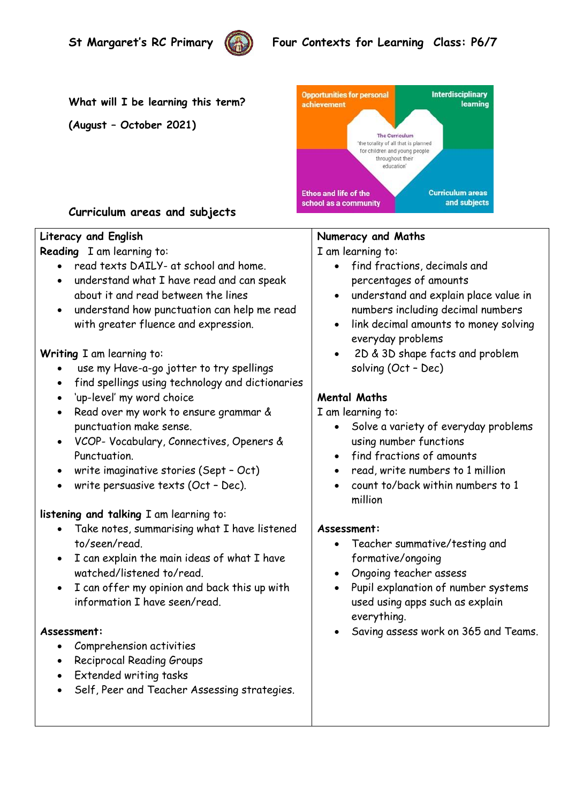

# **St Margaret's RC Primary** (()) Four Contexts for Learning Class: P6/7

**What will I be learning this term?** 

**(August – October 2021)**



## **Curriculum areas and subjects**

### **Literacy and English**

**Reading** I am learning to:

- read texts DAILY- at school and home.
- understand what I have read and can speak about it and read between the lines
- understand how punctuation can help me read with greater fluence and expression.

#### **Writing** I am learning to:

- use my Have-a-go jotter to try spellings
- find spellings using technology and dictionaries
- 'up-level' my word choice
- Read over my work to ensure grammar & punctuation make sense.
- VCOP- Vocabulary, Connectives, Openers & Punctuation.
- write imaginative stories (Sept Oct)
- write persuasive texts (Oct Dec).

### **listening and talking** I am learning to:

- Take notes, summarising what I have listened to/seen/read.
- I can explain the main ideas of what I have watched/listened to/read.
- I can offer my opinion and back this up with information I have seen/read.

#### **Assessment:**

- Comprehension activities
- Reciprocal Reading Groups
- Extended writing tasks
- Self, Peer and Teacher Assessing strategies.

# **Numeracy and Maths**

I am learning to:

- find fractions, decimals and percentages of amounts
- understand and explain place value in numbers including decimal numbers
- link decimal amounts to money solving everyday problems
- 2D & 3D shape facts and problem solving (Oct – Dec)

## **Mental Maths**

I am learning to:

- Solve a variety of everyday problems using number functions
- find fractions of amounts
- read, write numbers to 1 million
- count to/back within numbers to 1 million

#### **Assessment:**

- Teacher summative/testing and formative/ongoing
- Ongoing teacher assess
- Pupil explanation of number systems used using apps such as explain everything.
- Saving assess work on 365 and Teams.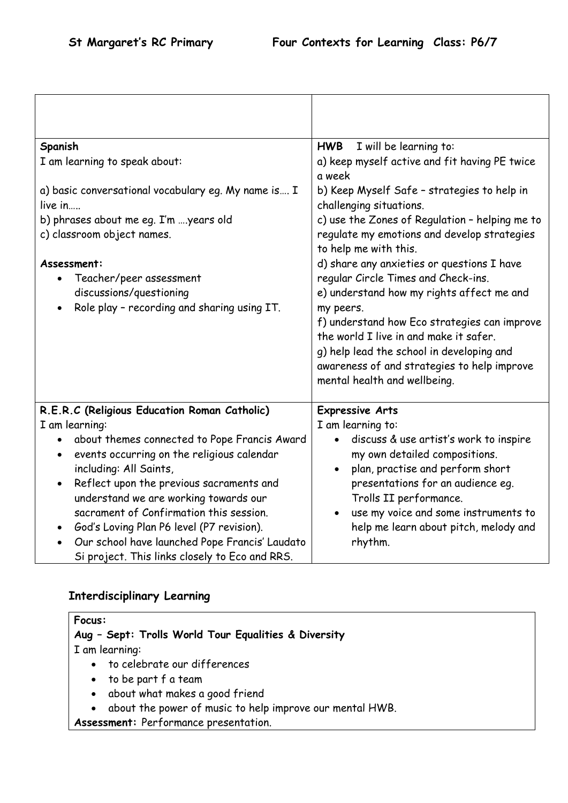| Spanish                                                                                                                                                                                                                                                                                                                                                                                                                                           | <b>HWB</b><br>I will be learning to:                                                                                                                                                                                                                                                                                                                              |
|---------------------------------------------------------------------------------------------------------------------------------------------------------------------------------------------------------------------------------------------------------------------------------------------------------------------------------------------------------------------------------------------------------------------------------------------------|-------------------------------------------------------------------------------------------------------------------------------------------------------------------------------------------------------------------------------------------------------------------------------------------------------------------------------------------------------------------|
| I am learning to speak about:                                                                                                                                                                                                                                                                                                                                                                                                                     | a) keep myself active and fit having PE twice<br>a week                                                                                                                                                                                                                                                                                                           |
| a) basic conversational vocabulary eq. My name is I<br>live in<br>b) phrases about me eg. I'm years old<br>c) classroom object names.                                                                                                                                                                                                                                                                                                             | b) Keep Myself Safe - strategies to help in<br>challenging situations.<br>c) use the Zones of Regulation - helping me to<br>regulate my emotions and develop strategies<br>to help me with this.                                                                                                                                                                  |
| Assessment:<br>Teacher/peer assessment<br>$\bullet$<br>discussions/questioning<br>Role play - recording and sharing using IT.                                                                                                                                                                                                                                                                                                                     | d) share any anxieties or questions I have<br>regular Circle Times and Check-ins.<br>e) understand how my rights affect me and<br>my peers.<br>f) understand how Eco strategies can improve<br>the world I live in and make it safer.<br>g) help lead the school in developing and<br>awareness of and strategies to help improve<br>mental health and wellbeing. |
| R.E.R.C (Religious Education Roman Catholic)                                                                                                                                                                                                                                                                                                                                                                                                      | <b>Expressive Arts</b>                                                                                                                                                                                                                                                                                                                                            |
| I am learning:<br>about themes connected to Pope Francis Award<br>events occurring on the religious calendar<br>$\bullet$<br>including: All Saints,<br>Reflect upon the previous sacraments and<br>$\bullet$<br>understand we are working towards our<br>sacrament of Confirmation this session.<br>God's Loving Plan P6 level (P7 revision).<br>Our school have launched Pope Francis' Laudato<br>Si project. This links closely to Eco and RRS. | I am learning to:<br>discuss & use artist's work to inspire<br>my own detailed compositions.<br>plan, practise and perform short<br>$\bullet$<br>presentations for an audience eg.<br>Trolls II performance.<br>use my voice and some instruments to<br>help me learn about pitch, melody and<br>rhythm.                                                          |

# **Interdisciplinary Learning**

| <b>Focus:</b>                                                         |  |
|-----------------------------------------------------------------------|--|
| Aug - Sept: Trolls World Tour Equalities & Diversity                  |  |
| I am learning:                                                        |  |
| • to celebrate our differences                                        |  |
| $\bullet$ to be part f a team                                         |  |
| about what makes a good friend<br>$\bullet$                           |  |
| about the power of music to help improve our mental HWB.<br>$\bullet$ |  |
| Assessment: Performance presentation.                                 |  |
|                                                                       |  |